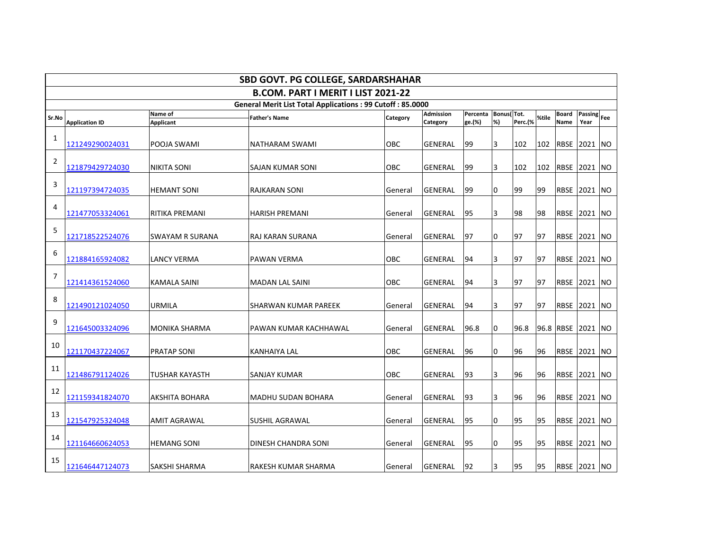|                |                       |                             | <b>SBD GOVT. PG COLLEGE, SARDARSHAHAR</b>                        |            |                  |                    |            |         |       |                      |                                                       |           |
|----------------|-----------------------|-----------------------------|------------------------------------------------------------------|------------|------------------|--------------------|------------|---------|-------|----------------------|-------------------------------------------------------|-----------|
|                |                       |                             | B.COM. PART I MERIT I LIST 2021-22                               |            |                  |                    |            |         |       |                      |                                                       |           |
|                |                       |                             | <b>General Merit List Total Applications: 99 Cutoff: 85.0000</b> |            | <b>Admission</b> |                    | Bonus(Tot. |         |       |                      |                                                       |           |
| Sr.No          | <b>Application ID</b> | Name of<br><b>Applicant</b> | <b>Father's Name</b>                                             | Category   | Category         | Percenta<br>ge.(%) | %)         | Perc.(% | %tile | <b>Board</b><br>Name | $\overline{\mathsf{Passing}} _{\mathsf{Fee}}$<br>Year |           |
| $\mathbf{1}$   | 121249290024031       | POOJA SWAMI                 | NATHARAM SWAMI                                                   | <b>OBC</b> | GENERAL          | 99                 | 3          | 102     | 102   | <b>RBSE</b>          | 2021                                                  | NO        |
| $\overline{2}$ | 121879429724030       | <b>NIKITA SONI</b>          | <b>SAJAN KUMAR SONI</b>                                          | OBC        | GENERAL          | 99                 | 3          | 102     | 102   |                      | RBSE 2021                                             | <b>NO</b> |
| 3              | 121197394724035       | <b>HEMANT SONI</b>          | <b>RAJKARAN SONI</b>                                             | General    | <b>GENERAL</b>   | 99                 | l0         | 99      | 99    | RBSE 2021            |                                                       | <b>NO</b> |
| 4              | 121477053324061       | <b>RITIKA PREMANI</b>       | <b>HARISH PREMANI</b>                                            | General    | <b>GENERAL</b>   | 95                 | 3          | 98      | 98    |                      | RBSE 2021 NO                                          |           |
| 5              | 121718522524076       | SWAYAM R SURANA             | RAJ KARAN SURANA                                                 | General    | GENERAL          | 97                 | 0          | 97      | 97    | RBSE                 | 2021                                                  | NO        |
| 6              | 121884165924082       | <b>LANCY VERMA</b>          | <b>PAWAN VERMA</b>                                               | <b>OBC</b> | <b>GENERAL</b>   | 94                 | 3          | 97      | 97    |                      | RBSE 2021 NO                                          |           |
| $\overline{7}$ | 121414361524060       | <b>KAMALA SAINI</b>         | <b>MADAN LAL SAINI</b>                                           | OBC        | GENERAL          | 94                 | 3          | 97      | 97    | RBSE 2021            |                                                       | <b>NO</b> |
| 8              | 121490121024050       | <b>URMILA</b>               | SHARWAN KUMAR PAREEK                                             | General    | <b>GENERAL</b>   | 94                 | 3          | 97      | 97    |                      | RBSE 2021                                             | <b>NO</b> |
| 9              | 121645003324096       | <b>MONIKA SHARMA</b>        | PAWAN KUMAR KACHHAWAL                                            | General    | GENERAL          | 96.8               | 10         | 96.8    | 96.8  | <b>RBSE</b>          | 2021                                                  | NO        |
| 10             | 121170437224067       | <b>PRATAP SONI</b>          | <b>KANHAIYA LAL</b>                                              | <b>OBC</b> | GENERAL          | 96                 | l0         | 96      | 96    |                      | <b>RBSE 2021 NO</b>                                   |           |
| 11             | 121486791124026       | <b>TUSHAR KAYASTH</b>       | <b>SANJAY KUMAR</b>                                              | OBC        | GENERAL          | 93                 | 3          | 96      | 96    | RBSE 2021            |                                                       | <b>NO</b> |
| 12             | 121159341824070       | AKSHITA BOHARA              | <b>MADHU SUDAN BOHARA</b>                                        | General    | GENERAL          | 93                 | 3          | 96      | 96    |                      | RBSE 2021                                             | <b>NO</b> |
| 13             | 121547925324048       | <b>AMIT AGRAWAL</b>         | <b>SUSHIL AGRAWAL</b>                                            | General    | GENERAL          | 95                 | 0          | 95      | 95    | RBSE                 | 2021                                                  | <b>NO</b> |
| 14             | 121164660624053       | <b>HEMANG SONI</b>          | <b>DINESH CHANDRA SONI</b>                                       | General    | GENERAL          | 95                 | 10         | 95      | 95    |                      | <b>RBSE 2021 NO</b>                                   |           |
| 15             | 121646447124073       | <b>SAKSHI SHARMA</b>        | RAKESH KUMAR SHARMA                                              | General    | <b>GENERAL</b>   | 92                 | 3          | 95      | 95    | RBSE 2021            |                                                       | <b>NO</b> |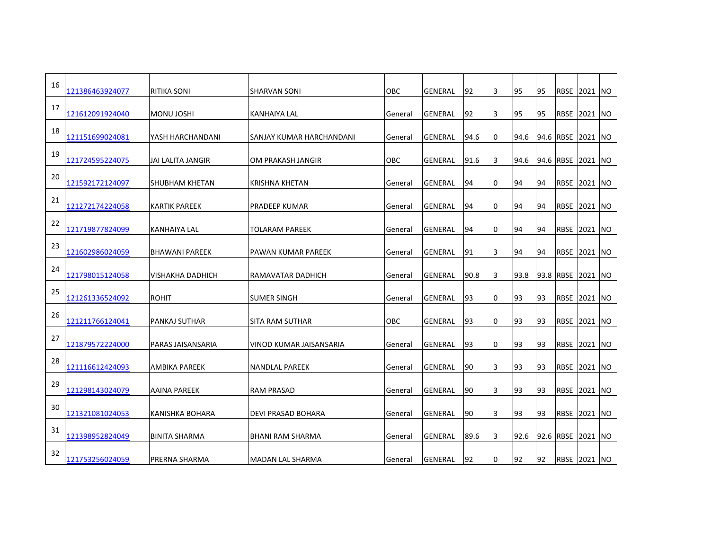| 16 | 121386463924077 | <b>RITIKA SONI</b>       | <b>SHARVAN SONI</b>       | <b>OBC</b> | <b>GENERAL</b> | 92   | 3  | 95   | 95 | <b>RBSE</b> | 2021 NO             |  |
|----|-----------------|--------------------------|---------------------------|------------|----------------|------|----|------|----|-------------|---------------------|--|
| 17 | 121612091924040 | <b>MONU JOSHI</b>        | <b>KANHAIYA LAL</b>       | General    | <b>GENERAL</b> | 92   | 3  | 95   | 95 | <b>RBSE</b> | 2021 NO             |  |
| 18 | 121151699024081 | YASH HARCHANDANI         | ISANJAY KUMAR HARCHANDANI | General    | <b>GENERAL</b> | 94.6 | l0 | 94.6 |    | 94.6 RBSE   | 2021 NO             |  |
| 19 | 121724595224075 | <b>JAI LALITA JANGIR</b> | OM PRAKASH JANGIR         | <b>OBC</b> | <b>GENERAL</b> | 91.6 | 3  | 94.6 |    | 94.6 RBSE   | 2021 NO             |  |
| 20 | 121592172124097 | SHUBHAM KHETAN           | <b>KRISHNA KHETAN</b>     | General    | <b>GENERAL</b> | 94   | 0  | 94   | 94 | <b>RBSE</b> | 2021 NO             |  |
| 21 | 121272174224058 | <b>IKARTIK PAREEK</b>    | <b>PRADEEP KUMAR</b>      | General    | <b>GENERAL</b> | 94   | 0  | 94   | 94 | <b>RBSE</b> | 2021 NO             |  |
| 22 | 121719877824099 | IKANHAIYA LAL            | TOLARAM PAREEK            | General    | <b>GENERAL</b> | 94   | 0  | 94   | 94 | <b>RBSE</b> | 2021 NO             |  |
| 23 | 121602986024059 | <b>BHAWANI PAREEK</b>    | <b>PAWAN KUMAR PAREEK</b> | General    | <b>GENERAL</b> | 91   | 3  | 94   | 94 | <b>RBSE</b> | 2021 NO             |  |
| 24 | 121798015124058 | VISHAKHA DADHICH         | RAMAVATAR DADHICH         | General    | <b>GENERAL</b> | 90.8 | 3  | 93.8 |    | 93.8 RBSE   | 2021 NO             |  |
| 25 | 121261336524092 | <b>ROHIT</b>             | <b>SUMER SINGH</b>        | General    | <b>GENERAL</b> | 93   | 0  | 93   | 93 | <b>RBSE</b> | 2021 NO             |  |
| 26 | 121211766124041 | IPANKAJ SUTHAR           | <b>SITA RAM SUTHAR</b>    | <b>OBC</b> | <b>GENERAL</b> | 93   | 0  | 93   | 93 | <b>RBSE</b> | 2021 NO             |  |
| 27 | 121879572224000 | IPARAS JAISANSARIA       | VINOD KUMAR JAISANSARIA   |            | <b>GENERAL</b> | 93   | 0  | 93   | 93 | <b>RBSE</b> | 2021 NO             |  |
| 28 |                 |                          |                           | General    |                |      |    |      |    |             |                     |  |
| 29 | 121116612424093 | <b>AMBIKA PAREEK</b>     | NANDLAL PAREEK            | General    | GENERAL        | 90   | 3  | 93   | 93 | <b>RBSE</b> | 2021 NO             |  |
| 30 | 121298143024079 | <b>AAINA PAREEK</b>      | <b>RAM PRASAD</b>         | General    | <b>GENERAL</b> | 90   | 3  | 93   | 93 | <b>RBSE</b> | 2021 NO             |  |
| 31 | 121321081024053 | lkanishka bohara         | DEVI PRASAD BOHARA        | General    | <b>GENERAL</b> | 90   | 3  | 93   | 93 | <b>RBSE</b> | 2021 NO             |  |
| 32 | 121398952824049 | <b>BINITA SHARMA</b>     | IBHANI RAM SHARMA         | General    | <b>GENERAL</b> | 89.6 | 3  | 92.6 |    | 92.6 RBSE   | 2021 NO             |  |
|    | 121753256024059 | <b>PRERNA SHARMA</b>     | <b>MADAN LAL SHARMA</b>   | General    | <b>GENERAL</b> | 92   | 0  | 92   | 92 |             | <b>RBSE 2021 NO</b> |  |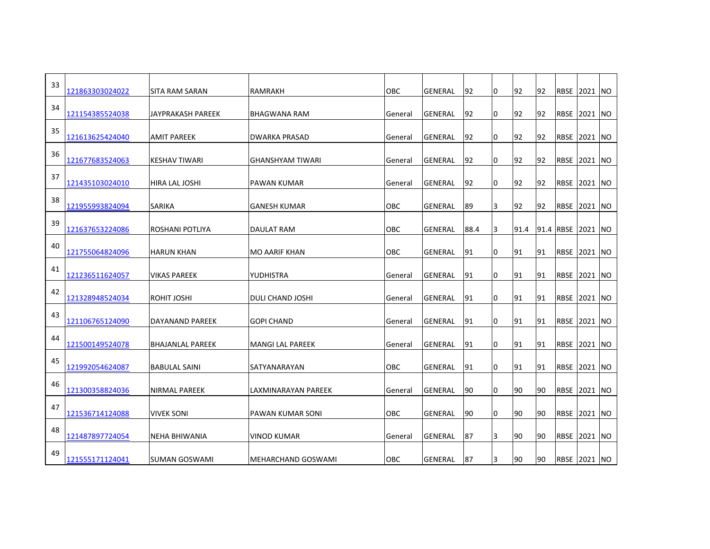| 33 | 121863303024022 | ISITA RAM SARAN       | <b>RAMRAKH</b>                            | <b>OBC</b>     | <b>GENERAL</b> | 92   | $\Omega$ | 92   | 92 | <b>RBSE</b> | 2021 NO             |  |
|----|-----------------|-----------------------|-------------------------------------------|----------------|----------------|------|----------|------|----|-------------|---------------------|--|
| 34 | 121154385524038 | JAYPRAKASH PAREEK     | <b>BHAGWANA RAM</b>                       | General        | <b>GENERAL</b> | 92   | l0       | 92   | 92 | <b>RBSE</b> | 2021 NO             |  |
| 35 | 121613625424040 | <b>AMIT PAREEK</b>    | <b>DWARKA PRASAD</b>                      | General        | <b>GENERAL</b> | 92   | 0        | 92   | 92 | <b>RBSE</b> | 2021 NO             |  |
| 36 | 121677683524063 | İKESHAV TIWARI        | <b>GHANSHYAM TIWARI</b>                   | General        | <b>GENERAL</b> | 92   | 0        | 92   | 92 | <b>RBSE</b> | 2021 NO             |  |
| 37 | 121435103024010 | <b>HIRA LAL JOSHI</b> | <b>PAWAN KUMAR</b>                        | General        | <b>GENERAL</b> | 92   | 0        | 92   | 92 | <b>RBSE</b> | 2021 NO             |  |
| 38 | 121955993824094 | <b>SARIKA</b>         | <b>GANESH KUMAR</b>                       | <b>OBC</b>     | <b>GENERAL</b> | 89   | 3        | 92   | 92 | <b>RBSE</b> | 2021 NO             |  |
| 39 | 121637653224086 | IROSHANI POTLIYA      | <b>DAULAT RAM</b>                         | <b>OBC</b>     | <b>GENERAL</b> | 88.4 | 3        | 91.4 |    | 91.4 RBSE   | 2021 NO             |  |
| 40 | 121755064824096 | <b>HARUN KHAN</b>     | <b>MO AARIF KHAN</b>                      | <b>OBC</b>     | <b>GENERAL</b> | 91   | l0       | 91   | 91 | <b>RBSE</b> | 2021 NO             |  |
| 41 | 121236511624057 | <b>VIKAS PAREEK</b>   | <b>YUDHISTRA</b>                          | General        | <b>GENERAL</b> | 91   | 0        | 91   | 91 | <b>RBSE</b> | 2021 NO             |  |
| 42 | 121328948524034 | <b>ROHIT JOSHI</b>    | DULI CHAND JOSHI                          | General        | <b>GENERAL</b> | 91   | 0        | 91   | 91 | <b>RBSE</b> | 2021 NO             |  |
| 43 | 121106765124090 | DAYANAND PAREEK       | <b>GOPI CHAND</b>                         | General        | <b>GENERAL</b> | 91   | 0        | 91   | 91 | <b>RBSE</b> | 2021 NO             |  |
| 44 | 121500149524078 | IBHAJANLAL PAREEK     | <b>MANGI LAL PAREEK</b>                   | General        | <b>GENERAL</b> | 91   | 0        | 91   | 91 | <b>RBSE</b> | 2021 NO             |  |
| 45 | 121992054624087 | <b>BABULAL SAINI</b>  | <b>SATYANARAYAN</b>                       | <b>OBC</b>     | GENERAL        | 91   | 0        | 91   | 91 | <b>RBSE</b> | 2021 NO             |  |
| 46 | 121300358824036 | NIRMAL PAREEK         | LAXMINARAYAN PAREEK                       | General        | <b>GENERAL</b> | 90   | 0        | 90   | 90 |             | <b>RBSE 2021 NO</b> |  |
| 47 | 121536714124088 | <b>IVIVEK SONI</b>    | PAWAN KUMAR SONI                          | <b>OBC</b>     | <b>GENERAL</b> | 90   | 10       | 90   | 90 | <b>RBSE</b> | 2021 NO             |  |
| 48 | 121487897724054 | NEHA BHIWANIA         |                                           |                | <b>GENERAL</b> | 87   | 3        | 90   | 90 | <b>RBSE</b> | 2021 NO             |  |
| 49 | 121555171124041 | <b>SUMAN GOSWAMI</b>  | <b>VINOD KUMAR</b><br> MEHARCHAND GOSWAMI | General<br>OBC | <b>GENERAL</b> | 87   | 3        | 90   | 90 |             | <b>RBSE 2021 NO</b> |  |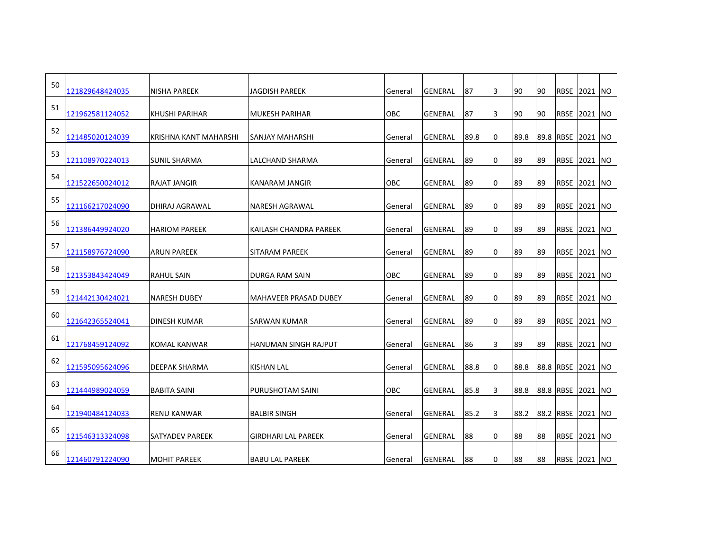| 50 | 121829648424035 | <b>NISHA PAREEK</b>    | JAGDISH PAREEK               | General    | GENERAL        | 87   | 3  | 90   | 90 |                   | <b>RBSE 12021 INO</b> |           |
|----|-----------------|------------------------|------------------------------|------------|----------------|------|----|------|----|-------------------|-----------------------|-----------|
| 51 | 121962581124052 | KHUSHI PARIHAR         | <b>MUKESH PARIHAR</b>        | OBC        | <b>GENERAL</b> | 87   | 3  | 90   | 90 |                   | RBSE 2021 NO          |           |
| 52 | 121485020124039 | KRISHNA KANT MAHARSHI  | SANJAY MAHARSHI              | General    | GENERAL        | 89.8 | 0  | 89.8 |    | 89.8 RBSE 2021    |                       | <b>NO</b> |
| 53 | 121108970224013 | <b>SUNIL SHARMA</b>    | LALCHAND SHARMA              | General    | <b>GENERAL</b> | 89   | 0  | 89   | 89 |                   | RBSE 2021 INO         |           |
| 54 | 121522650024012 | RAJAT JANGIR           | KANARAM JANGIR               | <b>OBC</b> | <b>GENERAL</b> | 89   | 0  | 89   | 89 |                   | RBSE 2021 NO          |           |
| 55 | 121166217024090 | <b>DHIRAJ AGRAWAL</b>  | <b>NARESH AGRAWAL</b>        | General    | <b>GENERAL</b> | 89   | O  | 89   | 89 |                   | RBSE 2021             | <b>NO</b> |
| 56 | 121386449924020 | <b>HARIOM PAREEK</b>   | KAILASH CHANDRA PAREEK       | General    | <b>GENERAL</b> | 89   | 0  | 89   | 89 |                   | RBSE 2021 NO          |           |
| 57 | 121158976724090 | <b>ARUN PAREEK</b>     | SITARAM PAREEK               | General    | <b>GENERAL</b> | 89   | 0  | 89   | 89 |                   | RBSE 2021 NO          |           |
| 58 | 121353843424049 | RAHUL SAIN             | DURGA RAM SAIN               | OBC        | GENERAL        | 89   | 0  | 89   | 89 |                   | RBSE 2021 NO          |           |
| 59 | 121442130424021 | <b>NARESH DUBEY</b>    | <b>MAHAVEER PRASAD DUBEY</b> | General    | <b>GENERAL</b> | 89   | 0  | 89   | 89 |                   | RBSE 2021 INO         |           |
| 60 | 121642365524041 | DINESH KUMAR           | SARWAN KUMAR                 | General    | <b>GENERAL</b> | 89   | 0  | 89   | 89 |                   | RBSE 2021 NO          |           |
| 61 | 121768459124092 | <b>KOMAL KANWAR</b>    | HANUMAN SINGH RAJPUT         | General    | <b>GENERAL</b> | 86   | IЗ | 89   | 89 |                   | RBSE 2021             | <b>NO</b> |
| 62 | 121595095624096 | <b>DEEPAK SHARMA</b>   | <b>KISHAN LAL</b>            | General    | <b>GENERAL</b> | 88.8 | 0  | 88.8 |    | 88.8 RBSE 2021 NO |                       |           |
| 63 | 121444989024059 | <b>BABITA SAINI</b>    | PURUSHOTAM SAINI             | <b>OBC</b> | <b>GENERAL</b> | 85.8 | 3  | 88.8 |    | 88.8 RBSE 2021 NO |                       |           |
| 64 | 121940484124033 | RENU KANWAR            | <b>BALBIR SINGH</b>          | General    | <b>GENERAL</b> | 85.2 | 3  | 88.2 |    | 88.2 RBSE 2021 NO |                       |           |
| 65 | 121546313324098 | <b>SATYADEV PAREEK</b> | <b>GIRDHARI LAL PAREEK</b>   | General    | <b>GENERAL</b> | 88   | 0  | 88   | 88 |                   | <b>RBSE 12021 INO</b> |           |
| 66 | 121460791224090 | <b>MOHIT PAREEK</b>    | <b>BABU LAL PAREEK</b>       | General    | <b>GENERAL</b> | 88   | 0  | 88   | 88 |                   | RBSE 2021 NO          |           |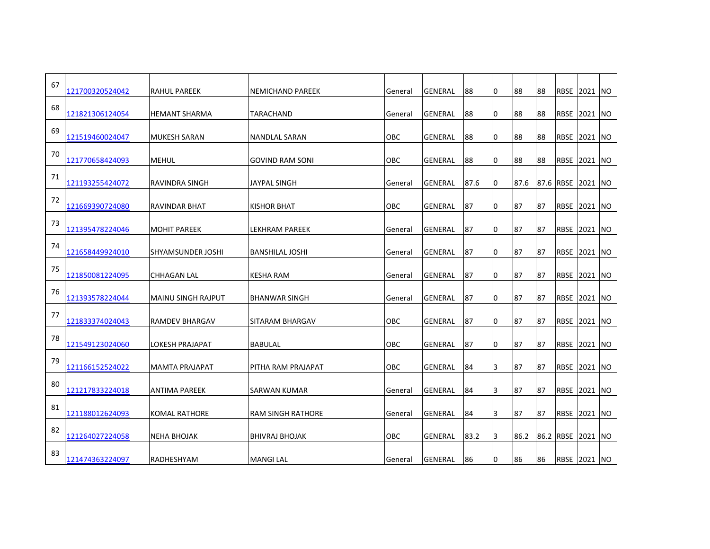| 67 | 121700320524042 | <b>RAHUL PAREEK</b>   | <b>NEMICHAND PAREEK</b>  | General    | <b>GENERAL</b> | 88   | 0        | 88   | 88 | <b>RBSE</b> | 2021 NO             |  |
|----|-----------------|-----------------------|--------------------------|------------|----------------|------|----------|------|----|-------------|---------------------|--|
| 68 | 121821306124054 | <b>HEMANT SHARMA</b>  | TARACHAND                | General    | <b>GENERAL</b> | 88   | l0       | 88   | 88 | <b>RBSE</b> | 2021 NO             |  |
| 69 | 121519460024047 | <b>MUKESH SARAN</b>   | NANDLAL SARAN            | <b>OBC</b> | GENERAL        | 88   | 0        | 88   | 88 | <b>RBSE</b> | 2021 NO             |  |
| 70 | 121770658424093 | <b>MEHUL</b>          | <b>GOVIND RAM SONI</b>   | OBC        | <b>GENERAL</b> | 88   | 0        | 88   | 88 | <b>RBSE</b> | 2021 NO             |  |
| 71 | 121193255424072 | RAVINDRA SINGH        | JAYPAL SINGH             | General    | GENERAL        | 87.6 | <b>O</b> | 87.6 |    | 87.6 RBSE   | 2021 NO             |  |
| 72 |                 |                       |                          |            |                |      |          |      |    |             |                     |  |
|    | 121669390724080 | RAVINDAR BHAT         | <b>KISHOR BHAT</b>       | OBC        | <b>GENERAL</b> | 87   | 0        | 87   | 87 | <b>RBSE</b> | 2021 NO             |  |
| 73 | 121395478224046 | <b>MOHIT PAREEK</b>   | LEKHRAM PAREEK           | General    | <b>GENERAL</b> | 87   | 0        | 87   | 87 | <b>RBSE</b> | 2021 NO             |  |
| 74 | 121658449924010 | SHYAMSUNDER JOSHI     | <b>BANSHILAL JOSHI</b>   | General    | <b>GENERAL</b> | 87   | l0       | 87   | 87 |             | <b>RBSE 2021 NO</b> |  |
| 75 | 121850081224095 | <b>CHHAGAN LAL</b>    | <b>KESHA RAM</b>         | General    | GENERAL        | 87   | 0        | 87   | 87 | <b>RBSE</b> | 2021 NO             |  |
| 76 | 121393578224044 | MAINU SINGH RAJPUT    | <b>BHANWAR SINGH</b>     | General    | <b>GENERAL</b> | 87   | 0        | 87   | 87 | <b>RBSE</b> | 2021 NO             |  |
| 77 | 121833374024043 | RAMDEV BHARGAV        | SITARAM BHARGAV          | OBC        | <b>GENERAL</b> | 87   | 0        | 87   | 87 |             | <b>RBSE 2021 NO</b> |  |
| 78 | 121549123024060 | LOKESH PRAJAPAT       | <b>BABULAL</b>           | <b>OBC</b> | <b>GENERAL</b> | 87   | 0        | 87   | 87 | <b>RBSE</b> | 2021 NO             |  |
| 79 | 121166152524022 | <b>MAMTA PRAJAPAT</b> | PITHA RAM PRAJAPAT       | OBC        | <b>GENERAL</b> | 84   | 3        | 87   | 87 |             | <b>RBSE 2021 NO</b> |  |
| 80 | 121217833224018 | <b>ANTIMA PAREEK</b>  | SARWAN KUMAR             | General    | <b>GENERAL</b> | 84   | 3        | 87   | 87 |             | <b>RBSE 2021 NO</b> |  |
| 81 | 121188012624093 | <b>KOMAL RATHORE</b>  | <b>RAM SINGH RATHORE</b> | General    | <b>GENERAL</b> | 84   | 3        | 87   | 87 | <b>RBSE</b> | 2021 NO             |  |
| 82 | 121264027224058 | <b>NEHA BHOJAK</b>    | <b>BHIVRAJ BHOJAK</b>    | OBC        | <b>GENERAL</b> | 83.2 | 3        | 86.2 |    | 86.2 RBSE   | 2021 NO             |  |
| 83 | 121474363224097 | RADHESHYAM            | <b>MANGI LAL</b>         | General    | GENERAL        | 86   | 0        | 86   | 86 |             | <b>RBSE 2021 NO</b> |  |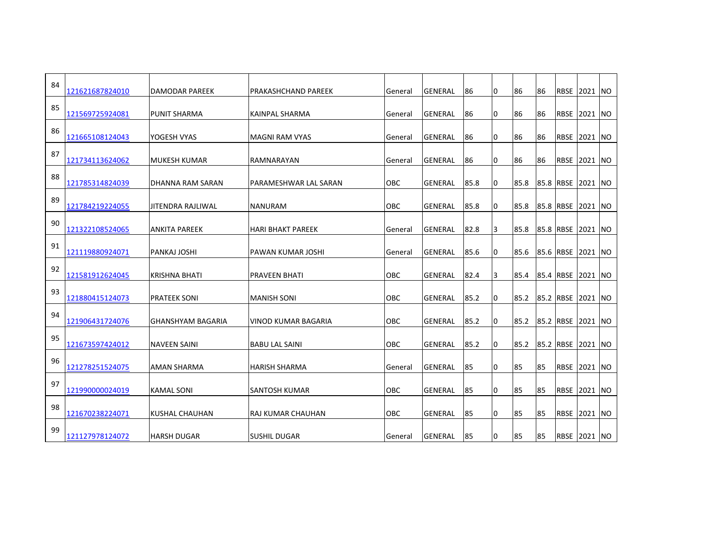| 84 | 121621687824010 | <b>DAMODAR PAREEK</b>    | PRAKASHCHAND PAREEK      | General    | IGENERAL       | 86   | $\overline{0}$ | 86   | 86 | <b>RBSE 2021 NO</b> |         |           |
|----|-----------------|--------------------------|--------------------------|------------|----------------|------|----------------|------|----|---------------------|---------|-----------|
| 85 | 121569725924081 | <b>PUNIT SHARMA</b>      | <b>KAINPAL SHARMA</b>    |            | <b>GENERAL</b> | 86   | $\overline{0}$ | 86   | 86 | <b>RBSE 2021 NO</b> |         |           |
|    |                 |                          |                          | General    |                |      |                |      |    |                     |         |           |
| 86 | 121665108124043 | YOGESH VYAS              | <b>MAGNI RAM VYAS</b>    | General    | <b>GENERAL</b> | 86   | 0              | 86   | 86 | <b>RBSE</b>         | 2021    | <b>NO</b> |
| 87 | 121734113624062 | <b>MUKESH KUMAR</b>      | RAMNARAYAN               | General    | <b>GENERAL</b> | 86   | $\overline{0}$ | 86   | 86 | <b>RBSE 2021</b>    |         | <b>NO</b> |
| 88 | 121785314824039 | DHANNA RAM SARAN         | PARAMESHWAR LAL SARAN    | <b>OBC</b> | <b>GENERAL</b> | 85.8 | $\overline{0}$ | 85.8 |    | 85.8 RBSE 2021 NO   |         |           |
| 89 | 121784219224055 | <b>JITENDRA RAJLIWAL</b> | <b>NANURAM</b>           | OBC        | <b>GENERAL</b> | 85.8 | $\overline{0}$ | 85.8 |    | 85.8 RBSE           | 2021    | <b>NO</b> |
| 90 | 121322108524065 | <b>ANKITA PAREEK</b>     | <b>HARI BHAKT PAREEK</b> | General    | <b>GENERAL</b> | 82.8 | 3              | 85.8 |    | 85.8 RBSE           | 2021    | <b>NO</b> |
| 91 | 121119880924071 | PANKAJ JOSHI             | PAWAN KUMAR JOSHI        | General    | <b>GENERAL</b> | 85.6 | $\overline{0}$ | 85.6 |    | 85.6 RBSE           | 2021 NO |           |
| 92 | 121581912624045 | KRISHNA BHATI            | PRAVEEN BHATI            | <b>OBC</b> | <b>GENERAL</b> | 82.4 | 3              | 85.4 |    | 85.4 RBSE           | 2021    | <b>NO</b> |
| 93 | 121880415124073 | <b>PRATEEK SONI</b>      | <b>MANISH SONI</b>       | <b>OBC</b> | <b>GENERAL</b> | 85.2 | $\overline{0}$ | 85.2 |    | 85.2 RBSE 2021      |         | <b>NO</b> |
| 94 | 121906431724076 | <b>GHANSHYAM BAGARIA</b> | VINOD KUMAR BAGARIA      | <b>OBC</b> | <b>GENERAL</b> | 85.2 | $\overline{0}$ | 85.2 |    | 85.2 RBSE 2021 NO   |         |           |
| 95 | 121673597424012 | <b>NAVEEN SAINI</b>      | <b>BABU LAL SAINI</b>    | OBC        | <b>GENERAL</b> | 85.2 | $\overline{0}$ | 85.2 |    | 85.2 RBSE           | 2021 NO |           |
| 96 | 121278251524075 | <b>AMAN SHARMA</b>       | <b>HARISH SHARMA</b>     | General    | <b>GENERAL</b> | 85   | $\overline{0}$ | 85   | 85 | <b>RBSE</b>         | 2021    | <b>NO</b> |
| 97 |                 |                          |                          |            |                |      |                |      |    |                     |         |           |
|    | 121990000024019 | <b>KAMAL SONI</b>        | SANTOSH KUMAR            | <b>OBC</b> | <b>GENERAL</b> | 85   | $\overline{0}$ | 85   | 85 | <b>RBSE 2021 NO</b> |         |           |
| 98 | 121670238224071 | KUSHAL CHAUHAN           | <b>RAJ KUMAR CHAUHAN</b> | OBC        | <b>GENERAL</b> | 85   | $\overline{0}$ | 85   | 85 | RBSE 2021 INO       |         |           |
| 99 | 121127978124072 | <b>HARSH DUGAR</b>       | <b>SUSHIL DUGAR</b>      | General    | <b>GENERAL</b> | 85   | 10             | 85   | 85 | RBSE 2021 NO        |         |           |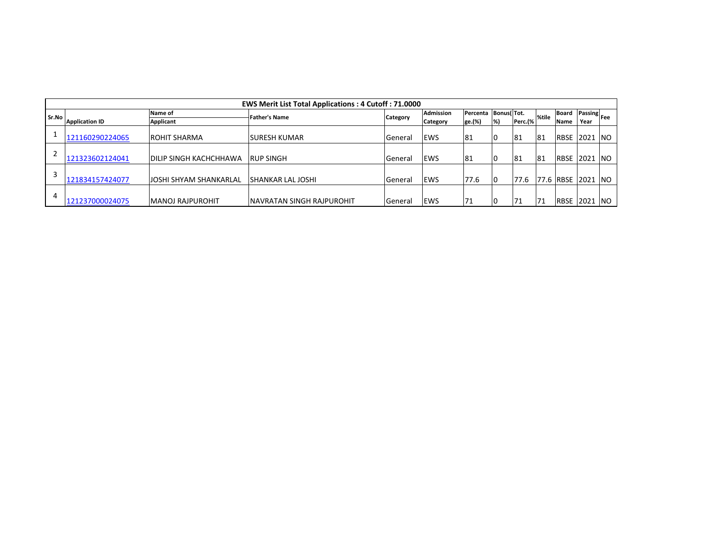|       |                       |                                | <b>EWS Merit List Total Applications: 4 Cutoff: 71.0000</b> |          |                  |          |               |         |       |                |                           |            |
|-------|-----------------------|--------------------------------|-------------------------------------------------------------|----------|------------------|----------|---------------|---------|-------|----------------|---------------------------|------------|
| Sr.No |                       | Name of                        | <b>Father's Name</b>                                        |          | <b>Admission</b> | Percenta | Bonus(Tot.    |         | %tile | Board          | $\frac{1}{2}$ Passing Fee |            |
|       | <b>Application ID</b> | Applicant                      |                                                             | Category | Category         | ge.(%)   | $\frac{9}{6}$ | Perc.(% |       | Name           | Year                      |            |
|       | 121160290224065       | <b>ROHIT SHARMA</b>            | SURESH KUMAR                                                | General  | EWS              | 181      | 10            | 81      | 81    | <b>RBSE</b>    | 2021                      | <b>INO</b> |
|       | 121323602124041       | <b>IDILIP SINGH KACHCHHAWA</b> | <b>RUP SINGH</b>                                            | General  | EWS              | 81       | 10            | 81      | 81    | <b>RBSE</b>    | 2021                      | <b>NO</b>  |
|       | 121834157424077       | JOSHI SHYAM SHANKARLAL         | <b>ISHANKAR LAL JOSHI</b>                                   | General  | <b>EWS</b>       | 77.6     | 10            | 77.6    |       | 77.6 RBSE 2021 |                           | <b>NO</b>  |
|       | 121237000024075       | <b>IMANOJ RAJPUROHIT</b>       | INAVRATAN SINGH RAJPUROHIT                                  | General  | EWS              | 71       | 10            | 71      | 71    | <b>RBSE</b>    | 2021                      | INO.       |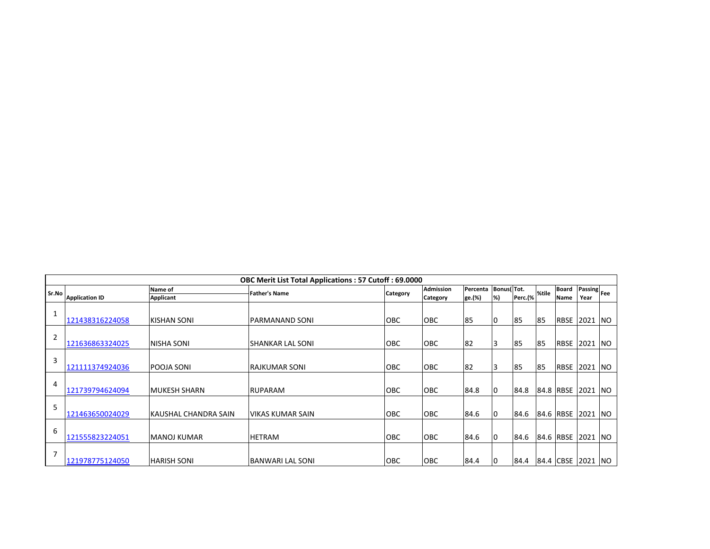|       |                       |                       | <b>OBC Merit List Total Applications: 57 Cutoff: 69.0000</b> |            |                  |          |            |         |       |                |                    |           |
|-------|-----------------------|-----------------------|--------------------------------------------------------------|------------|------------------|----------|------------|---------|-------|----------------|--------------------|-----------|
| Sr.No |                       | Name of               | <b>Father's Name</b>                                         | Category   | <b>Admission</b> | Percenta | Bonus(Tot. |         | %tile | <b>Board</b>   | <b>Passing</b> Fee |           |
|       | <b>Application ID</b> | <b>Applicant</b>      |                                                              |            | <b>Category</b>  | ge.(%)   | %)         | Perc.(% |       | Name           | Year               |           |
| 1     |                       |                       |                                                              |            |                  |          |            |         |       |                |                    |           |
|       | 121438316224058       | <b>KISHAN SONI</b>    | IPARMANAND SONI                                              | <b>OBC</b> | <b>OBC</b>       | 85       | 10         | 185     | 185   | <b>RBSE</b>    | 2021               | <b>NO</b> |
| 2     | 121636863324025       | <b>NISHA SONI</b>     | <b>SHANKAR LAL SONI</b>                                      | <b>OBC</b> | <b>OBC</b>       | 82       |            | 85      | 85    | <b>RBSE</b>    | 2021               | <b>NO</b> |
|       |                       |                       |                                                              |            |                  |          |            |         |       |                |                    |           |
| 3     | 121111374924036       | <b>POOJA SONI</b>     | <b>RAJKUMAR SONI</b>                                         | <b>OBC</b> | <b>OBC</b>       | 82       |            | 85      | 85    | <b>RBSE</b>    | 2021               | <b>NO</b> |
| 4     | 121739794624094       | <b>IMUKESH SHARN</b>  | <b>RUPARAM</b>                                               | OBC        | <b>OBC</b>       | 84.8     | 0          | 84.8    |       | 84.8 RBSE      | 2021               | <b>NO</b> |
| 5     | 121463650024029       | IKAUSHAL CHANDRA SAIN | <b>VIKAS KUMAR SAIN</b>                                      | <b>OBC</b> | OBC              | 84.6     | 0          | 84.6    |       | 84.6 RBSE      | 2021               | <b>NO</b> |
| 6     | 121555823224051       | <b>MANOJ KUMAR</b>    | <b>HETRAM</b>                                                | OBC        | OBC              | 84.6     | 0          | 84.6    |       | 84.6 RBSE      | 2021               | <b>NO</b> |
| 7     | 121978775124050       | <b>HARISH SONI</b>    | <b>BANWARI LAL SONI</b>                                      | OBC        | OBC              | 84.4     | 0          | 84.4    |       | 84.4 CBSE 2021 |                    | <b>NO</b> |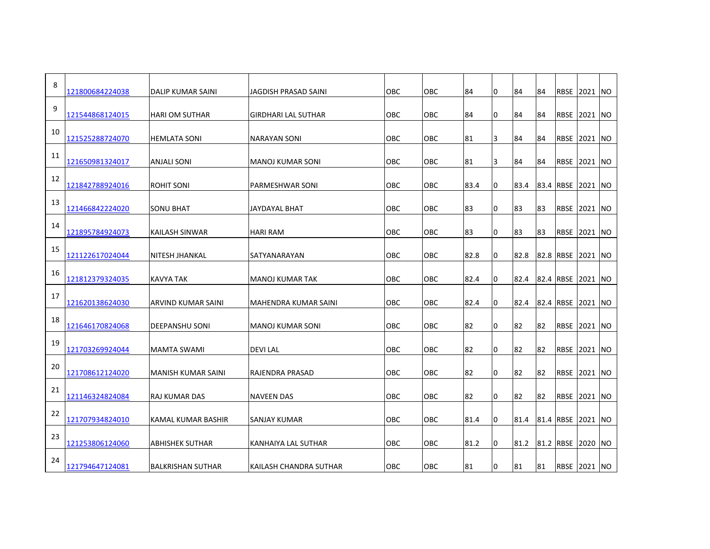| 8  | 121800684224038 | DALIP KUMAR SAINI     | <b>JAGDISH PRASAD SAINI</b> | <b>OBC</b> | <b>OBC</b> | 84   | l0. | 84   | 84 | <b>RBSE</b>         | 2021 NO         |            |
|----|-----------------|-----------------------|-----------------------------|------------|------------|------|-----|------|----|---------------------|-----------------|------------|
| 9  | 121544868124015 | <b>HARI OM SUTHAR</b> | <b>GIRDHARI LAL SUTHAR</b>  | <b>OBC</b> | OBC        | 84   | l0  | 84   | 84 | <b>RBSE</b>         | 2021            | <b>NO</b>  |
| 10 | 121525288724070 | <b>HEMLATA SONI</b>   | INARAYAN SONI               | <b>OBC</b> | <b>OBC</b> | 81   | 3   | 84   | 84 |                     | IRBSE 12021 INO |            |
| 11 | 121650981324017 | <b>ANJALI SONI</b>    | IMANOJ KUMAR SONI           | <b>OBC</b> | <b>OBC</b> | 81   | 3   | 84   | 84 | <b>RBSE</b>         | 2021 NO         |            |
| 12 | 121842788924016 | <b>ROHIT SONI</b>     | PARMESHWAR SONI             | OBC        | OBC        | 83.4 | l0. | 83.4 |    | 83.4 RBSE 2021      |                 | <b>NO</b>  |
| 13 | 121466842224020 | <b>SONU BHAT</b>      | <b>JAYDAYAL BHAT</b>        | <b>OBC</b> | <b>OBC</b> | 83   | l0  | 83   | 83 | <b>RBSE</b>         | 2021            | <b>NO</b>  |
| 14 | 121895784924073 | KAILASH SINWAR        | <b>HARI RAM</b>             | OBC        | OBC        | 83   | 0   | 83   | 83 | <b>RBSE</b>         | 2021            | <b>INO</b> |
| 15 | 121122617024044 | <b>NITESH JHANKAL</b> | SATYANARAYAN                | <b>OBC</b> | <b>OBC</b> | 82.8 | 0   | 82.8 |    | 82.8 RBSE 2021      |                 | <b>NO</b>  |
| 16 | 121812379324035 | KAVYA TAK             | MANOJ KUMAR TAK             | OBC        | OBC        | 82.4 | 10  | 82.4 |    | 82.4 RBSE           | 2021            | <b>NO</b>  |
| 17 | 121620138624030 | ARVIND KUMAR SAINI    | lMAHENDRA KUMAR SAINI       | <b>OBC</b> | <b>OBC</b> | 82.4 | n.  | 82.4 |    | 82.4 RBSE 2021      |                 | <b>NO</b>  |
| 18 | 121646170824068 | <b>DEEPANSHU SONI</b> | <b>MANOJ KUMAR SONI</b>     | <b>OBC</b> | <b>OBC</b> | 82   | 0   | 82   | 82 | <b>RBSE</b>         | 2021            | <b>NO</b>  |
| 19 | 121703269924044 | <b>MAMTA SWAMI</b>    | <b>DEVILAL</b>              | OBC        | OBC        | 82   | 0   | 82   | 82 | <b>RBSE</b>         | 2021            | <b>NO</b>  |
| 20 | 121708612124020 | MANISH KUMAR SAINI    | RAJENDRA PRASAD             | <b>OBC</b> | <b>OBC</b> | 82   | 0   | 82   | 82 | <b>RBSE 2021</b>    |                 | <b>INO</b> |
| 21 | 121146324824084 | <b>RAJ KUMAR DAS</b>  | <b>NAVEEN DAS</b>           | <b>OBC</b> | OBC        | 82   | l0  | 82   | 82 | <b>RBSE</b>         | 2021            | <b>NO</b>  |
| 22 | 121707934824010 | KAMAL KUMAR BASHIR    | SANJAY KUMAR                | <b>OBC</b> | OBC        | 81.4 | 0   | 81.4 |    | 81.4 RBSE           | 2021            | <b>NO</b>  |
| 23 | 121253806124060 | ABHISHEK SUTHAR       | KANHAIYA LAL SUTHAR         | <b>OBC</b> | ОВС        | 81.2 | IO. | 81.2 |    | 81.2 RBSE 2020      |                 | <b>NO</b>  |
| 24 | 121794647124081 | BALKRISHAN SUTHAR     | KAILASH CHANDRA SUTHAR      | <b>OBC</b> | <b>OBC</b> | 81   | l0  | 81   | 81 | <b>RBSE 2021 NO</b> |                 |            |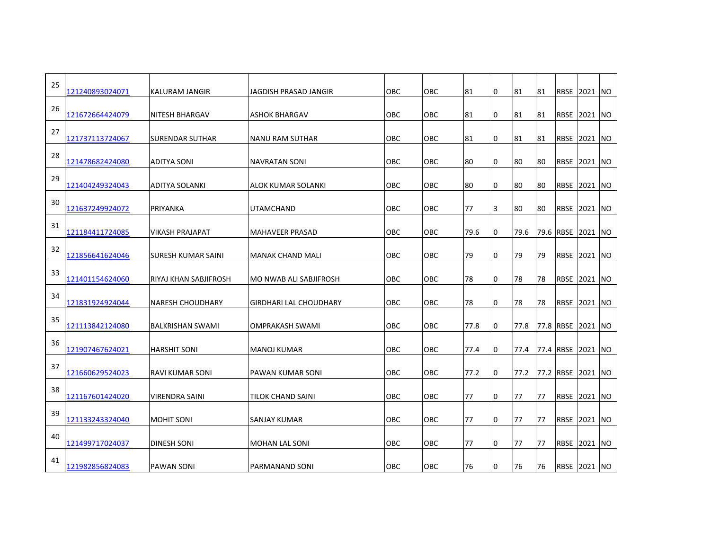| 25 | 121240893024071 | KALURAM JANGIR          | JAGDISH PRASAD JANGIR         | OBC        | ОВС        | 81   | 0  | 81   | 81 | <b>RBSE</b>         | 2021           | <b>NO</b>  |
|----|-----------------|-------------------------|-------------------------------|------------|------------|------|----|------|----|---------------------|----------------|------------|
| 26 | 121672664424079 | <b>NITESH BHARGAV</b>   | ASHOK BHARGAV                 | OBC        | OBC        | 81   | 0  | 81   | 81 | <b>RBSE</b>         | 2021           | <b>NO</b>  |
| 27 | 121737113724067 | <b>SURENDAR SUTHAR</b>  | NANU RAM SUTHAR               | OBC        | OBC        | 81   | l0 | 81   | 81 | <b>RBSE</b>         | 2021           | <b>NO</b>  |
| 28 | 121478682424080 | <b>ADITYA SONI</b>      | <b>NAVRATAN SONI</b>          | OBC        | ОВС        | 80   | 0  | 80   | 80 | <b>RBSE</b>         | 2021           | <b>NO</b>  |
| 29 | 121404249324043 | <b>ADITYA SOLANKI</b>   | ALOK KUMAR SOLANKI            | OBC        | ОВС        | 80   | 0  | 80   | 80 | <b>RBSE</b>         | 2021           | <b>NO</b>  |
| 30 | 121637249924072 | <b>PRIYANKA</b>         | <b>UTAMCHAND</b>              | OBC        | <b>OBC</b> | 77   | 3  | 80   | 80 | <b>RBSE</b>         | 2021           | <b>NO</b>  |
| 31 | 121184411724085 | <b>VIKASH PRAJAPAT</b>  | <b>MAHAVEER PRASAD</b>        | <b>OBC</b> | <b>OBC</b> | 79.6 | 0  | 79.6 |    | 79.6 RBSE 2021      |                | <b>NO</b>  |
| 32 | 121856641624046 | SURESH KUMAR SAINI      | <b>MANAK CHAND MALI</b>       | OBC        | OBC        | 79   | 0  | 79   | 79 |                     | RBSE  2021  NO |            |
| 33 | 121401154624060 | RIYAJ KHAN SABJIFROSH   | MO NWAB ALI SABJIFROSH        | OBC        | OBC        | 78   | 0  | 78   | 78 | <b>RBSE</b>         | 2021           | <b>NO</b>  |
| 34 | 121831924924044 | INARESH CHOUDHARY       | <b>GIRDHARI LAL CHOUDHARY</b> | <b>OBC</b> | OBC.       | 78   | 0  | 78   | 78 | RBSE  2021          |                | <b>NO</b>  |
| 35 | 121113842124080 | <b>BALKRISHAN SWAMI</b> | <b>OMPRAKASH SWAMI</b>        | OBC        | <b>OBC</b> | 77.8 | 10 | 77.8 |    | 77.8 RBSE           | 2021           | <b>NO</b>  |
| 36 | 121907467624021 | <b>HARSHIT SONI</b>     | <b>MANOJ KUMAR</b>            | OBC        | <b>OBC</b> | 77.4 | 0  | 77.4 |    | 77.4 RBSE           | 2021           | <b>NO</b>  |
| 37 | 121660629524023 | RAVI KUMAR SONI         | PAWAN KUMAR SONI              | OBC        | <b>OBC</b> | 77.2 | 0  | 77.2 |    | 77.2 RBSE 2021      |                | <b>INO</b> |
| 38 | 121167601424020 | <b>VIRENDRA SAINI</b>   | TILOK CHAND SAINI             | OBC        | OBC        | 77   | l0 | 77   | 77 | RBSE 2021           |                | <b>NO</b>  |
| 39 | 121133243324040 | <b>MOHIT SONI</b>       | SANJAY KUMAR                  | OBC        | OBC        | 77   | 10 | 77   | 77 | <b>RBSE</b>         | 2021           | <b>NO</b>  |
| 40 | 121499717024037 | <b>DINESH SONI</b>      | MOHAN LAL SONI                | <b>OBC</b> | OBC        | 77   | 0  | 77   | 77 | <b>RBSE 2021</b>    |                | NO.        |
| 41 | 121982856824083 | <b>PAWAN SONI</b>       | PARMANAND SONI                | <b>OBC</b> | OBC        | 76   | l0 | 76   | 76 | <b>RBSE 2021 NO</b> |                |            |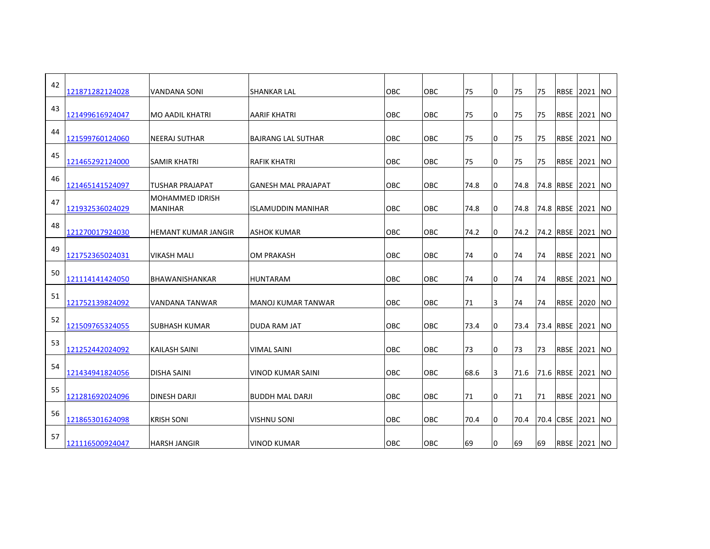| 42 | 121871282124028 | <b>VANDANA SONI</b>                      | <b>SHANKAR LAL</b>         | <b>OBC</b> | <b>OBC</b> | 75   | <b>O</b> | 75   | 75 |                     | <b>RBSE 2021 NO</b> |            |
|----|-----------------|------------------------------------------|----------------------------|------------|------------|------|----------|------|----|---------------------|---------------------|------------|
| 43 | 121499616924047 | <b>MO AADIL KHATRI</b>                   | <b>AARIF KHATRI</b>        | <b>OBC</b> | <b>OBC</b> | 75   | 0        | 75   | 75 |                     | <b>RBSE 2021 NO</b> |            |
| 44 | 121599760124060 | <b>NEERAJ SUTHAR</b>                     | <b>BAJRANG LAL SUTHAR</b>  | <b>OBC</b> | <b>OBC</b> | 75   | 0        | 75   | 75 | <b>RBSE 2021</b>    |                     | <b>INO</b> |
| 45 | 121465292124000 | <b>SAMIR KHATRI</b>                      | <b>RAFIK KHATRI</b>        | OBC        | <b>OBC</b> | 75   | 0        | 75   | 75 |                     | RBSE 2021 NO        |            |
| 46 | 121465141524097 | <b>TUSHAR PRAJAPAT</b>                   | <b>GANESH MAL PRAJAPAT</b> | <b>OBC</b> | OBC        | 74.8 | 0        | 74.8 |    | 74.8 RBSE 2021      |                     | <b>INO</b> |
| 47 | 121932536024029 | <b>MOHAMMED IDRISH</b><br><b>MANIHAR</b> | <b>ISLAMUDDIN MANIHAR</b>  | <b>OBC</b> | <b>OBC</b> | 74.8 | IO.      | 74.8 |    | 74.8 RBSE 2021      |                     | <b>NO</b>  |
| 48 | 121270017924030 | <b>HEMANT KUMAR JANGIR</b>               | <b>ASHOK KUMAR</b>         | <b>OBC</b> | <b>OBC</b> | 74.2 | 0        | 74.2 |    | 74.2 RBSE 2021 NO   |                     |            |
| 49 | 121752365024031 | <b>VIKASH MALI</b>                       | OM PRAKASH                 | <b>OBC</b> | <b>OBC</b> | 74   | <b>O</b> | 74   | 74 | RBSE 2021           |                     | <b>INO</b> |
| 50 | 121114141424050 | BHAWANISHANKAR                           | <b>HUNTARAM</b>            | <b>OBC</b> | <b>OBC</b> | 74   | n.       | 74   | 74 |                     | <b>RBSE 2021 NO</b> |            |
| 51 | 121752139824092 | VANDANA TANWAR                           | MANOJ KUMAR TANWAR         | <b>OBC</b> | <b>OBC</b> | 71   | 3        | 74   | 74 | RBSE 2020           |                     | <b>NO</b>  |
| 52 | 121509765324055 | <b>SUBHASH KUMAR</b>                     | DUDA RAM JAT               | <b>OBC</b> | <b>OBC</b> | 73.4 | Ι0       | 73.4 |    | 73.4 RBSE 2021 NO   |                     |            |
| 53 | 121252442024092 | <b>KAILASH SAINI</b>                     | <b>VIMAL SAINI</b>         | <b>OBC</b> | <b>OBC</b> | 73   | <b>O</b> | 73   | 73 |                     | <b>RBSE 2021 NO</b> |            |
| 54 | 121434941824056 | <b>DISHA SAINI</b>                       | <b>VINOD KUMAR SAINI</b>   | <b>OBC</b> | <b>OBC</b> | 68.6 | l3       | 71.6 |    | 71.6 RBSE 2021      |                     | <b>NO</b>  |
| 55 | 121281692024096 | <b>DINESH DARJI</b>                      | <b>BUDDH MAL DARJI</b>     | <b>OBC</b> | <b>OBC</b> | 71   | Ι0       | 71   | 71 |                     | <b>RBSE 2021 NO</b> |            |
| 56 | 121865301624098 | <b>KRISH SONI</b>                        | <b>VISHNU SONI</b>         | OBC        | <b>OBC</b> | 70.4 | Ι0       | 70.4 |    | 70.4 CBSE 2021      |                     | <b>INO</b> |
| 57 | 121116500924047 | <b>HARSH JANGIR</b>                      | <b>VINOD KUMAR</b>         | <b>OBC</b> | <b>OBC</b> | 69   | 10       | 69   | 69 | <b>RBSE 2021 NO</b> |                     |            |